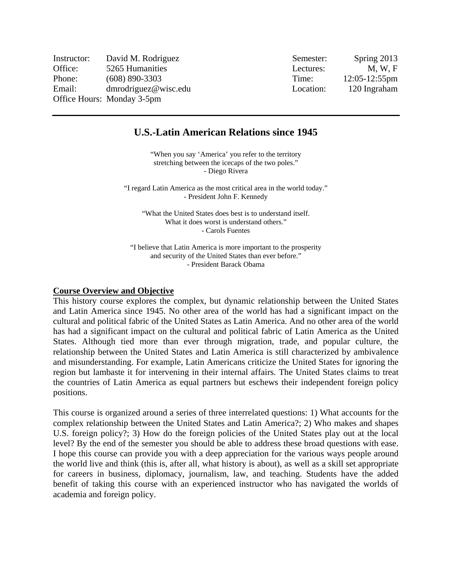| Instructor: | David M. Rodriguez         | Semester: | Spring 2013        |
|-------------|----------------------------|-----------|--------------------|
| Office:     | 5265 Humanities            | Lectures: | M. W. F            |
| Phone:      | $(608)$ 890-3303           | Time:     | $12:05 - 12:55$ pm |
| Email:      | dmrodriguez@wisc.edu       | Location: | 120 Ingraham       |
|             | Office Hours: Monday 3-5pm |           |                    |

## **U.S.-Latin American Relations since 1945**

"When you say 'America' you refer to the territory stretching between the icecaps of the two poles." - Diego Rivera

"I regard Latin America as the most critical area in the world today." - President John F. Kennedy

"What the United States does best is to understand itself. What it does worst is understand others." - Carols Fuentes

"I believe that Latin America is more important to the prosperity and security of the United States than ever before." - President Barack Obama

#### **Course Overview and Objective**

This history course explores the complex, but dynamic relationship between the United States and Latin America since 1945. No other area of the world has had a significant impact on the cultural and political fabric of the United States as Latin America. And no other area of the world has had a significant impact on the cultural and political fabric of Latin America as the United States. Although tied more than ever through migration, trade, and popular culture, the relationship between the United States and Latin America is still characterized by ambivalence and misunderstanding. For example, Latin Americans criticize the United States for ignoring the region but lambaste it for intervening in their internal affairs. The United States claims to treat the countries of Latin America as equal partners but eschews their independent foreign policy positions.

This course is organized around a series of three interrelated questions: 1) What accounts for the complex relationship between the United States and Latin America?; 2) Who makes and shapes U.S. foreign policy?; 3) How do the foreign policies of the United States play out at the local level? By the end of the semester you should be able to address these broad questions with ease. I hope this course can provide you with a deep appreciation for the various ways people around the world live and think (this is, after all, what history is about), as well as a skill set appropriate for careers in business, diplomacy, journalism, law, and teaching. Students have the added benefit of taking this course with an experienced instructor who has navigated the worlds of academia and foreign policy.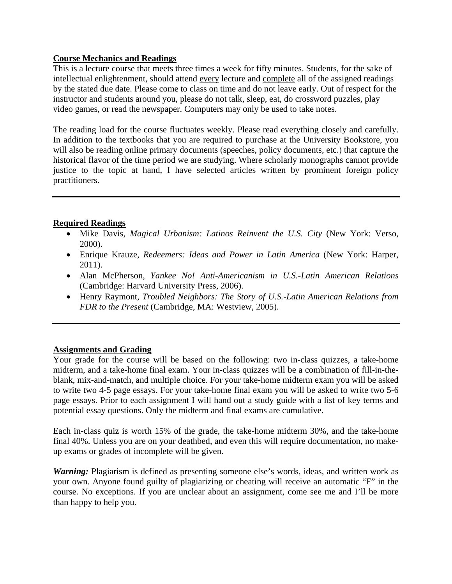### **Course Mechanics and Readings**

This is a lecture course that meets three times a week for fifty minutes. Students, for the sake of intellectual enlightenment, should attend every lecture and complete all of the assigned readings by the stated due date. Please come to class on time and do not leave early. Out of respect for the instructor and students around you, please do not talk, sleep, eat, do crossword puzzles, play video games, or read the newspaper. Computers may only be used to take notes.

The reading load for the course fluctuates weekly. Please read everything closely and carefully. In addition to the textbooks that you are required to purchase at the University Bookstore, you will also be reading online primary documents (speeches, policy documents, etc.) that capture the historical flavor of the time period we are studying. Where scholarly monographs cannot provide justice to the topic at hand, I have selected articles written by prominent foreign policy practitioners.

### **Required Readings**

- Mike Davis, *Magical Urbanism: Latinos Reinvent the U.S. City* (New York: Verso, 2000).
- Enrique Krauze, *Redeemers: Ideas and Power in Latin America* (New York: Harper, 2011).
- Alan McPherson, *Yankee No! Anti-Americanism in U.S.-Latin American Relations* (Cambridge: Harvard University Press, 2006).
- Henry Raymont, *Troubled Neighbors: The Story of U.S.-Latin American Relations from FDR to the Present* (Cambridge, MA: Westview, 2005).

#### **Assignments and Grading**

Your grade for the course will be based on the following: two in-class quizzes, a take-home midterm, and a take-home final exam. Your in-class quizzes will be a combination of fill-in-theblank, mix-and-match, and multiple choice. For your take-home midterm exam you will be asked to write two 4-5 page essays. For your take-home final exam you will be asked to write two 5-6 page essays. Prior to each assignment I will hand out a study guide with a list of key terms and potential essay questions. Only the midterm and final exams are cumulative.

Each in-class quiz is worth 15% of the grade, the take-home midterm 30%, and the take-home final 40%. Unless you are on your deathbed, and even this will require documentation, no makeup exams or grades of incomplete will be given.

*Warning: Plagiarism is defined as presenting someone else's words, ideas, and written work as* your own. Anyone found guilty of plagiarizing or cheating will receive an automatic "F" in the course. No exceptions. If you are unclear about an assignment, come see me and I'll be more than happy to help you.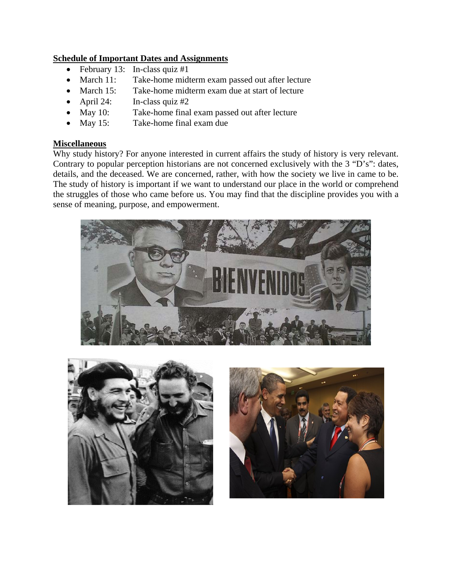## **Schedule of Important Dates and Assignments**

- February 13: In-class quiz  $#1$
- March 11: Take-home midterm exam passed out after lecture
- March 15: Take-home midterm exam due at start of lecture
- April 24: In-class quiz #2
- May 10: Take-home final exam passed out after lecture
- May 15: Take-home final exam due

## **Miscellaneous**

Why study history? For anyone interested in current affairs the study of history is very relevant. Contrary to popular perception historians are not concerned exclusively with the 3 "D's": dates, details, and the deceased. We are concerned, rather, with how the society we live in came to be. The study of history is important if we want to understand our place in the world or comprehend the struggles of those who came before us. You may find that the discipline provides you with a sense of meaning, purpose, and empowerment.





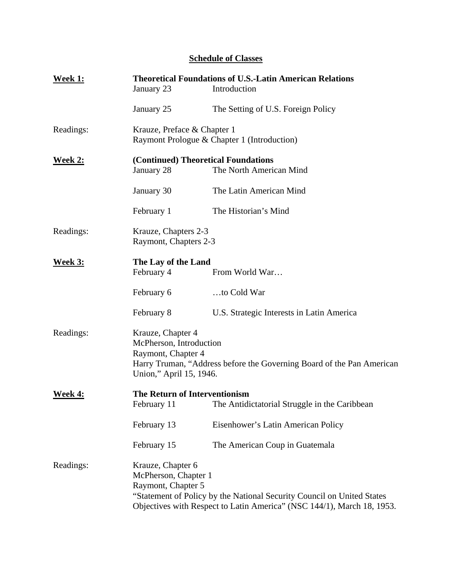# **Schedule of Classes**

| <b>Week 1:</b> | <b>Theoretical Foundations of U.S.-Latin American Relations</b><br>Introduction<br>January 23 |                                                                                                                                                  |
|----------------|-----------------------------------------------------------------------------------------------|--------------------------------------------------------------------------------------------------------------------------------------------------|
|                | January 25                                                                                    | The Setting of U.S. Foreign Policy                                                                                                               |
| Readings:      | Krauze, Preface & Chapter 1<br>Raymont Prologue & Chapter 1 (Introduction)                    |                                                                                                                                                  |
| <b>Week 2:</b> | (Continued) Theoretical Foundations<br>January 28                                             | The North American Mind                                                                                                                          |
|                | January 30                                                                                    | The Latin American Mind                                                                                                                          |
|                | February 1                                                                                    | The Historian's Mind                                                                                                                             |
| Readings:      | Krauze, Chapters 2-3<br>Raymont, Chapters 2-3                                                 |                                                                                                                                                  |
| <b>Week 3:</b> | The Lay of the Land<br>February 4                                                             | From World War                                                                                                                                   |
|                | February 6                                                                                    | to Cold War                                                                                                                                      |
|                | February 8                                                                                    | U.S. Strategic Interests in Latin America                                                                                                        |
| Readings:      | Krauze, Chapter 4<br>McPherson, Introduction<br>Raymont, Chapter 4<br>Union," April 15, 1946. | Harry Truman, "Address before the Governing Board of the Pan American                                                                            |
| Week 4:        | <b>The Return of Interventionism</b><br>February 11                                           | The Antidictatorial Struggle in the Caribbean                                                                                                    |
|                | February 13                                                                                   | Eisenhower's Latin American Policy                                                                                                               |
|                | February 15                                                                                   | The American Coup in Guatemala                                                                                                                   |
| Readings:      | Krauze, Chapter 6<br>McPherson, Chapter 1<br>Raymont, Chapter 5                               | "Statement of Policy by the National Security Council on United States<br>Objectives with Respect to Latin America" (NSC 144/1), March 18, 1953. |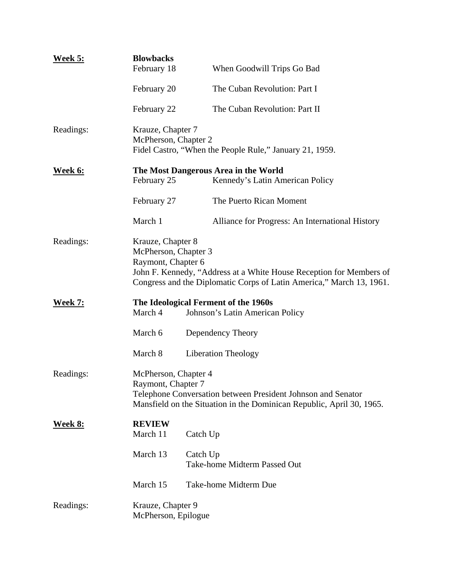| Week 5:        | <b>Blowbacks</b>                                                                                                                                                                                               |                                                                         |
|----------------|----------------------------------------------------------------------------------------------------------------------------------------------------------------------------------------------------------------|-------------------------------------------------------------------------|
|                | February 18                                                                                                                                                                                                    | When Goodwill Trips Go Bad                                              |
|                | February 20                                                                                                                                                                                                    | The Cuban Revolution: Part I                                            |
|                | February 22                                                                                                                                                                                                    | The Cuban Revolution: Part II                                           |
| Readings:      | Krauze, Chapter 7<br>McPherson, Chapter 2<br>Fidel Castro, "When the People Rule," January 21, 1959.                                                                                                           |                                                                         |
| <u>Week 6:</u> | February 25                                                                                                                                                                                                    | The Most Dangerous Area in the World<br>Kennedy's Latin American Policy |
|                | February 27                                                                                                                                                                                                    | The Puerto Rican Moment                                                 |
|                | March 1                                                                                                                                                                                                        | Alliance for Progress: An International History                         |
| Readings:      | Krauze, Chapter 8<br>McPherson, Chapter 3<br>Raymont, Chapter 6<br>John F. Kennedy, "Address at a White House Reception for Members of<br>Congress and the Diplomatic Corps of Latin America," March 13, 1961. |                                                                         |
| <b>Week 7:</b> | March 4                                                                                                                                                                                                        | The Ideological Ferment of the 1960s<br>Johnson's Latin American Policy |
|                | March 6                                                                                                                                                                                                        | Dependency Theory                                                       |
|                | March 8                                                                                                                                                                                                        | <b>Liberation Theology</b>                                              |
| Readings:      | McPherson, Chapter 4<br>Raymont, Chapter 7<br>Telephone Conversation between President Johnson and Senator<br>Mansfield on the Situation in the Dominican Republic, April 30, 1965.                            |                                                                         |
| <u>Week 8:</u> | <b>REVIEW</b><br>March 11                                                                                                                                                                                      | Catch Up                                                                |
|                | March 13                                                                                                                                                                                                       | Catch Up<br>Take-home Midterm Passed Out                                |
|                | March 15                                                                                                                                                                                                       | Take-home Midterm Due                                                   |
| Readings:      | Krauze, Chapter 9<br>McPherson, Epilogue                                                                                                                                                                       |                                                                         |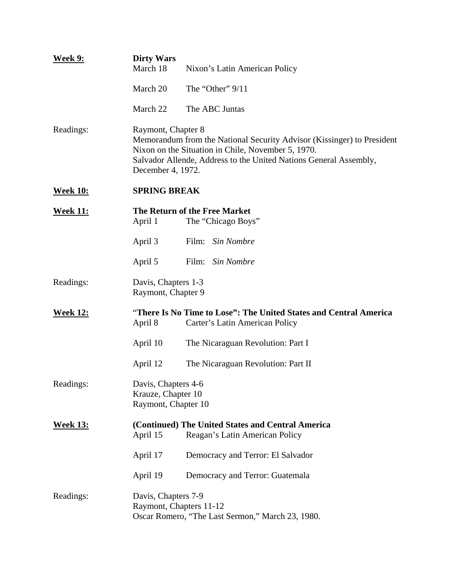| <b>Week 9:</b>  | <b>Dirty Wars</b><br>March 18                                    | Nixon's Latin American Policy                                                                                                                                                                     |
|-----------------|------------------------------------------------------------------|---------------------------------------------------------------------------------------------------------------------------------------------------------------------------------------------------|
|                 | March 20                                                         | The "Other" 9/11                                                                                                                                                                                  |
|                 | March 22                                                         | The ABC Juntas                                                                                                                                                                                    |
| Readings:       | Raymont, Chapter 8<br>December 4, 1972.                          | Memorandum from the National Security Advisor (Kissinger) to President<br>Nixon on the Situation in Chile, November 5, 1970.<br>Salvador Allende, Address to the United Nations General Assembly, |
| <b>Week 10:</b> | <b>SPRING BREAK</b>                                              |                                                                                                                                                                                                   |
| <u>Week 11:</u> | April 1                                                          | The Return of the Free Market<br>The "Chicago Boys"                                                                                                                                               |
|                 | April 3                                                          | Film: Sin Nombre                                                                                                                                                                                  |
|                 | April 5                                                          | Film:<br>Sin Nombre                                                                                                                                                                               |
| Readings:       | Davis, Chapters 1-3<br>Raymont, Chapter 9                        |                                                                                                                                                                                                   |
| <b>Week 12:</b> | April 8                                                          | "There Is No Time to Lose": The United States and Central America<br>Carter's Latin American Policy                                                                                               |
|                 | April 10                                                         | The Nicaraguan Revolution: Part I                                                                                                                                                                 |
|                 | April 12                                                         | The Nicaraguan Revolution: Part II                                                                                                                                                                |
| Readings:       | Davis, Chapters 4-6<br>Krauze, Chapter 10<br>Raymont, Chapter 10 |                                                                                                                                                                                                   |
| <b>Week 13:</b> | April 15                                                         | (Continued) The United States and Central America<br>Reagan's Latin American Policy                                                                                                               |
|                 | April 17                                                         | Democracy and Terror: El Salvador                                                                                                                                                                 |
|                 | April 19                                                         | Democracy and Terror: Guatemala                                                                                                                                                                   |
| Readings:       | Davis, Chapters 7-9<br>Raymont, Chapters 11-12                   | Oscar Romero, "The Last Sermon," March 23, 1980.                                                                                                                                                  |